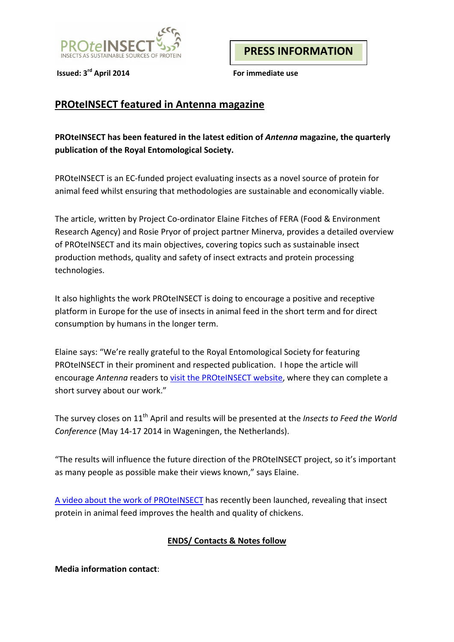

**Issued: 3rd April 2014 For immediate use**

**PRESS INFORMATION**

## **PROteINSECT featured in Antenna magazine**

**PROteINSECT has been featured in the latest edition of** *Antenna* **magazine, the quarterly publication of the Royal Entomological Society.**

PROteINSECT is an EC-funded project evaluating insects as a novel source of protein for animal feed whilst ensuring that methodologies are sustainable and economically viable.

The article, written by Project Co-ordinator Elaine Fitches of FERA (Food & Environment Research Agency) and Rosie Pryor of project partner Minerva, provides a detailed overview of PROteINSECT and its main objectives, covering topics such as sustainable insect production methods, quality and safety of insect extracts and protein processing technologies.

It also highlights the work PROteINSECT is doing to encourage a positive and receptive platform in Europe for the use of insects in animal feed in the short term and for direct consumption by humans in the longer term.

Elaine says: "We're really grateful to the Royal Entomological Society for featuring PROteINSECT in their prominent and respected publication. I hope the article will encourage *Antenna* readers to [visit the PROteINSECT website,](http://www.proteinsect.eu/index.php?id=34) where they can complete a short survey about our work."

The survey closes on 11th April and results will be presented at the *Insects to Feed the World Conference* (May 14-17 2014 in Wageningen, the Netherlands).

"The results will influence the future direction of the PROteINSECT project, so it's important as many people as possible make their views known," says Elaine.

[A video about the work of PROteINSECT](http://commnet.eu/05_News/Eating-Insects---New-Proteins-For-Farm-Animals.kl) has recently been launched, revealing that insect protein in animal feed improves the health and quality of chickens.

## **ENDS/ Contacts & Notes follow**

**Media information contact**: